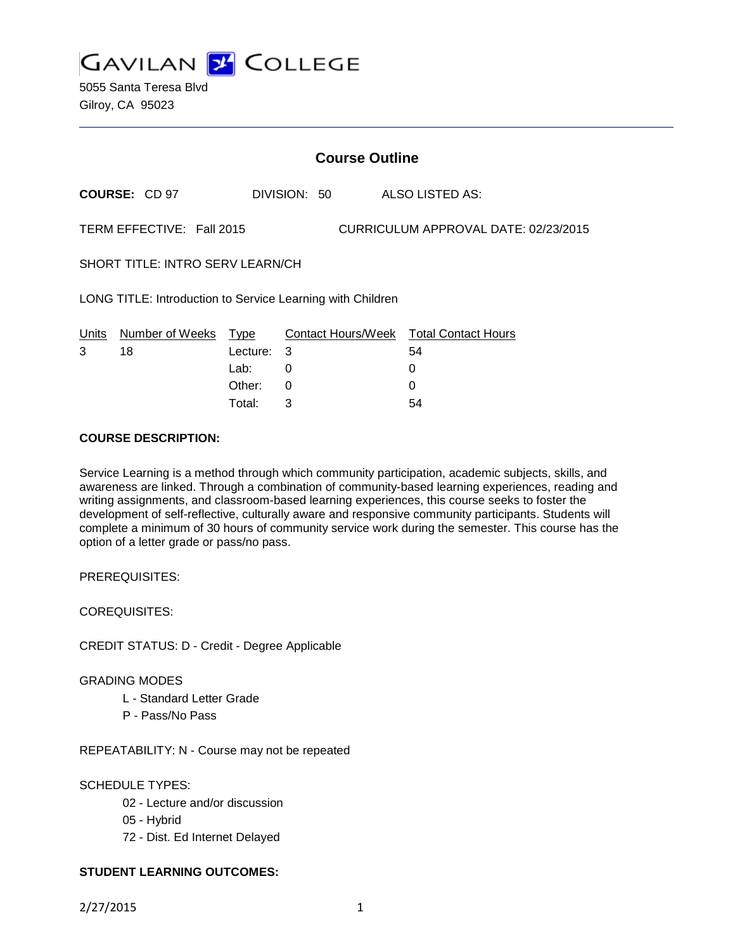

5055 Santa Teresa Blvd Gilroy, CA 95023

|                                                                   | <b>Course Outline</b> |          |              |  |  |                                        |
|-------------------------------------------------------------------|-----------------------|----------|--------------|--|--|----------------------------------------|
|                                                                   | <b>COURSE: CD 97</b>  |          | DIVISION: 50 |  |  | ALSO LISTED AS:                        |
| TERM EFFECTIVE: Fall 2015<br>CURRICULUM APPROVAL DATE: 02/23/2015 |                       |          |              |  |  |                                        |
| SHORT TITLE: INTRO SERV LEARN/CH                                  |                       |          |              |  |  |                                        |
| LONG TITLE: Introduction to Service Learning with Children        |                       |          |              |  |  |                                        |
| Units                                                             | Number of Weeks Type  |          |              |  |  | Contact Hours/Week Total Contact Hours |
| 3                                                                 | 18                    | Lecture: | 3            |  |  | 54                                     |
|                                                                   |                       | Lab:     | 0            |  |  | 0                                      |
|                                                                   |                       | Other:   | 0            |  |  | 0                                      |
|                                                                   |                       | Total:   | 3            |  |  | 54                                     |

### **COURSE DESCRIPTION:**

Service Learning is a method through which community participation, academic subjects, skills, and awareness are linked. Through a combination of community-based learning experiences, reading and writing assignments, and classroom-based learning experiences, this course seeks to foster the development of self-reflective, culturally aware and responsive community participants. Students will complete a minimum of 30 hours of community service work during the semester. This course has the option of a letter grade or pass/no pass.

PREREQUISITES:

COREQUISITES:

CREDIT STATUS: D - Credit - Degree Applicable

#### GRADING MODES

- L Standard Letter Grade
- P Pass/No Pass

REPEATABILITY: N - Course may not be repeated

#### SCHEDULE TYPES:

- 02 Lecture and/or discussion
- 05 Hybrid
- 72 Dist. Ed Internet Delayed

### **STUDENT LEARNING OUTCOMES:**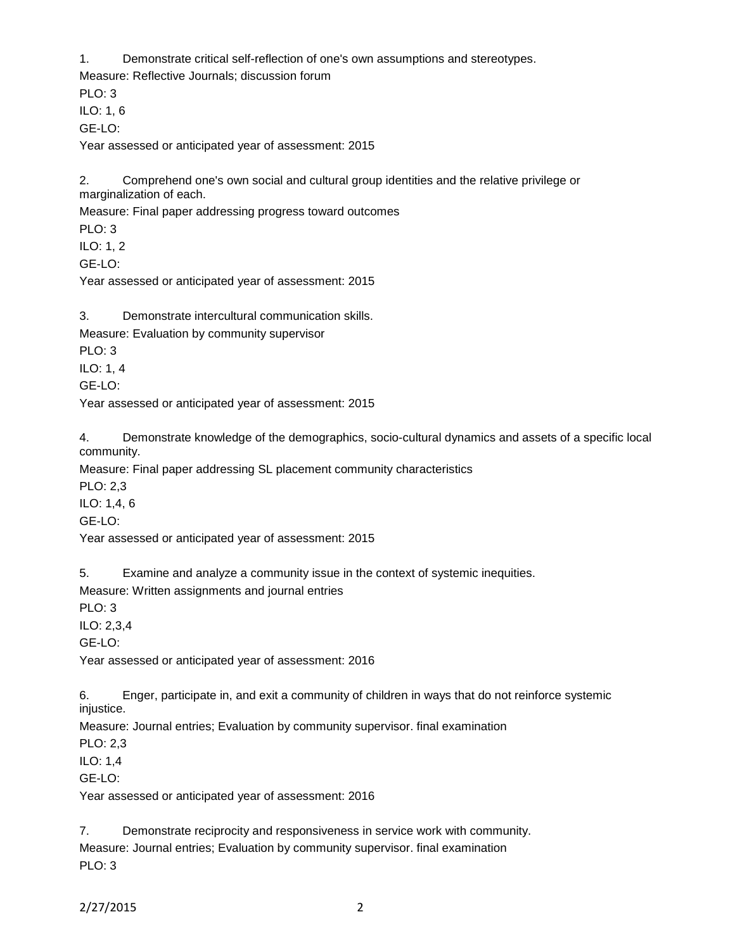1. Demonstrate critical self-reflection of one's own assumptions and stereotypes.

Measure: Reflective Journals; discussion forum

PLO: 3 ILO: 1, 6

GE-LO:

Year assessed or anticipated year of assessment: 2015

2. Comprehend one's own social and cultural group identities and the relative privilege or marginalization of each.

Measure: Final paper addressing progress toward outcomes

PLO: 3

ILO: 1, 2

GE-LO:

Year assessed or anticipated year of assessment: 2015

3. Demonstrate intercultural communication skills.

Measure: Evaluation by community supervisor

PLO: 3

ILO: 1, 4

GE-LO:

Year assessed or anticipated year of assessment: 2015

4. Demonstrate knowledge of the demographics, socio-cultural dynamics and assets of a specific local community.

Measure: Final paper addressing SL placement community characteristics

PLO: 2,3

ILO: 1,4, 6

GE-LO:

Year assessed or anticipated year of assessment: 2015

5. Examine and analyze a community issue in the context of systemic inequities.

Measure: Written assignments and journal entries

PLO: 3

ILO: 2,3,4

GE-LO:

Year assessed or anticipated year of assessment: 2016

6. Enger, participate in, and exit a community of children in ways that do not reinforce systemic injustice.

Measure: Journal entries; Evaluation by community supervisor. final examination

PLO: 2,3

ILO: 1,4

GE-LO:

Year assessed or anticipated year of assessment: 2016

7. Demonstrate reciprocity and responsiveness in service work with community. Measure: Journal entries; Evaluation by community supervisor. final examination PLO: 3

2/27/2015 2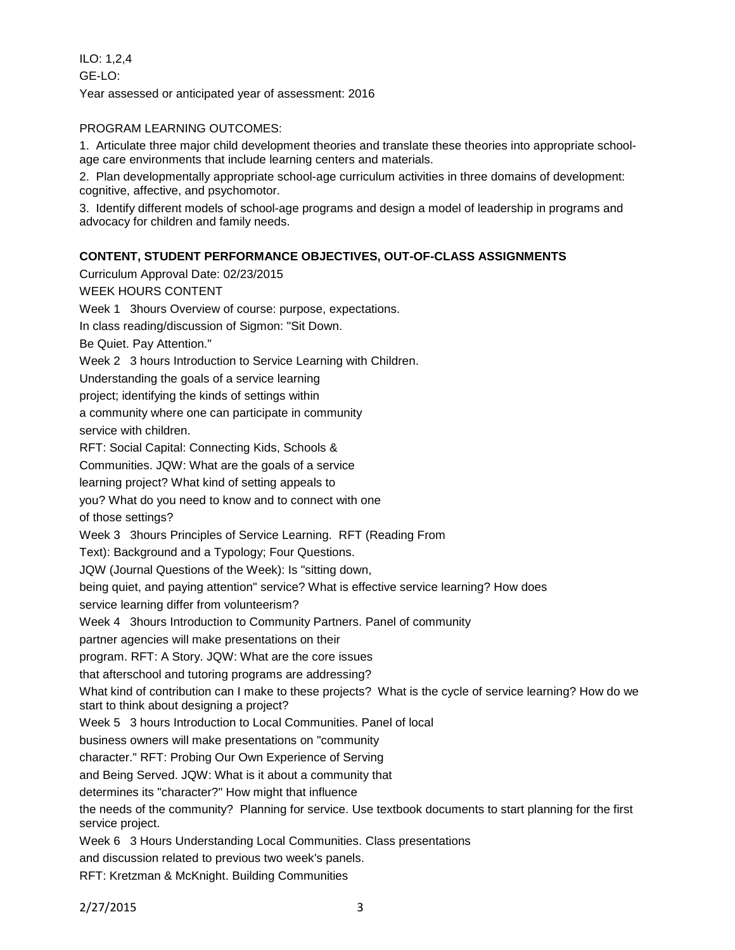ILO: 1,2,4 GE-LO: Year assessed or anticipated year of assessment: 2016

# PROGRAM LEARNING OUTCOMES:

1. Articulate three major child development theories and translate these theories into appropriate schoolage care environments that include learning centers and materials.

2. Plan developmentally appropriate school-age curriculum activities in three domains of development: cognitive, affective, and psychomotor.

3. Identify different models of school-age programs and design a model of leadership in programs and advocacy for children and family needs.

## **CONTENT, STUDENT PERFORMANCE OBJECTIVES, OUT-OF-CLASS ASSIGNMENTS**

Curriculum Approval Date: 02/23/2015 WEEK HOURS CONTENT Week 1 3hours Overview of course: purpose, expectations. In class reading/discussion of Sigmon: "Sit Down. Be Quiet. Pay Attention." Week 2 3 hours Introduction to Service Learning with Children. Understanding the goals of a service learning project; identifying the kinds of settings within a community where one can participate in community service with children. RFT: Social Capital: Connecting Kids, Schools & Communities. JQW: What are the goals of a service learning project? What kind of setting appeals to you? What do you need to know and to connect with one of those settings? Week 3 3hours Principles of Service Learning. RFT (Reading From Text): Background and a Typology; Four Questions. JQW (Journal Questions of the Week): Is "sitting down, being quiet, and paying attention" service? What is effective service learning? How does service learning differ from volunteerism? Week 4 3hours Introduction to Community Partners. Panel of community partner agencies will make presentations on their program. RFT: A Story. JQW: What are the core issues that afterschool and tutoring programs are addressing? What kind of contribution can I make to these projects? What is the cycle of service learning? How do we start to think about designing a project? Week 5 3 hours Introduction to Local Communities. Panel of local business owners will make presentations on "community character." RFT: Probing Our Own Experience of Serving and Being Served. JQW: What is it about a community that determines its "character?" How might that influence the needs of the community? Planning for service. Use textbook documents to start planning for the first service project. Week 6 3 Hours Understanding Local Communities. Class presentations and discussion related to previous two week's panels. RFT: Kretzman & McKnight. Building Communities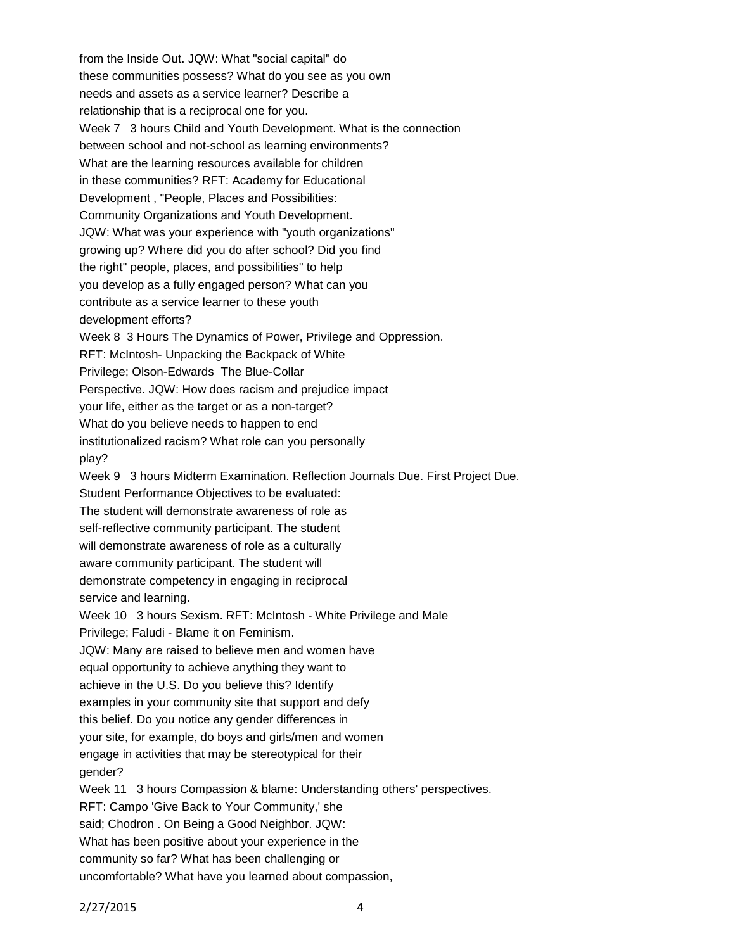from the Inside Out. JQW: What "social capital" do these communities possess? What do you see as you own needs and assets as a service learner? Describe a relationship that is a reciprocal one for you. Week 7 3 hours Child and Youth Development. What is the connection between school and not-school as learning environments? What are the learning resources available for children in these communities? RFT: Academy for Educational Development , "People, Places and Possibilities: Community Organizations and Youth Development. JQW: What was your experience with "youth organizations" growing up? Where did you do after school? Did you find the right" people, places, and possibilities" to help you develop as a fully engaged person? What can you contribute as a service learner to these youth development efforts? Week 8 3 Hours The Dynamics of Power, Privilege and Oppression. RFT: McIntosh- Unpacking the Backpack of White Privilege; Olson-Edwards The Blue-Collar Perspective. JQW: How does racism and prejudice impact your life, either as the target or as a non-target? What do you believe needs to happen to end institutionalized racism? What role can you personally play? Week 9 3 hours Midterm Examination. Reflection Journals Due. First Project Due. Student Performance Objectives to be evaluated: The student will demonstrate awareness of role as self-reflective community participant. The student will demonstrate awareness of role as a culturally aware community participant. The student will demonstrate competency in engaging in reciprocal service and learning. Week 10 3 hours Sexism. RFT: McIntosh - White Privilege and Male Privilege; Faludi - Blame it on Feminism. JQW: Many are raised to believe men and women have equal opportunity to achieve anything they want to achieve in the U.S. Do you believe this? Identify examples in your community site that support and defy this belief. Do you notice any gender differences in your site, for example, do boys and girls/men and women engage in activities that may be stereotypical for their gender? Week 11 3 hours Compassion & blame: Understanding others' perspectives. RFT: Campo 'Give Back to Your Community,' she said; Chodron . On Being a Good Neighbor. JQW: What has been positive about your experience in the community so far? What has been challenging or uncomfortable? What have you learned about compassion,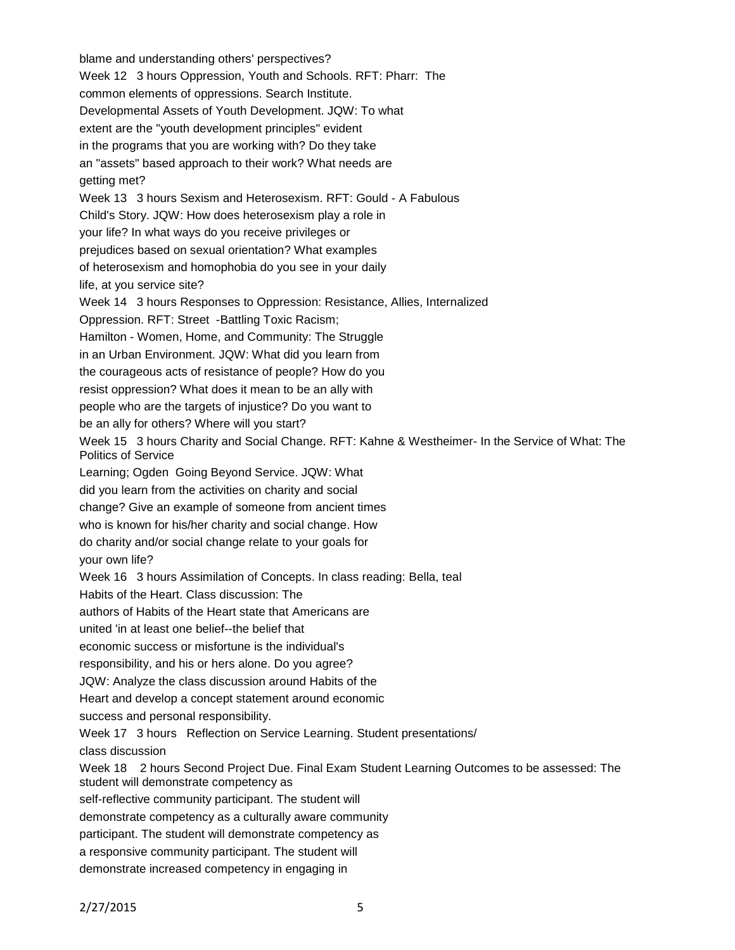blame and understanding others' perspectives? Week 12 3 hours Oppression, Youth and Schools. RFT: Pharr: The common elements of oppressions. Search Institute. Developmental Assets of Youth Development. JQW: To what extent are the "youth development principles" evident in the programs that you are working with? Do they take an "assets" based approach to their work? What needs are getting met? Week 13 3 hours Sexism and Heterosexism. RFT: Gould - A Fabulous Child's Story. JQW: How does heterosexism play a role in your life? In what ways do you receive privileges or prejudices based on sexual orientation? What examples of heterosexism and homophobia do you see in your daily life, at you service site? Week 14 3 hours Responses to Oppression: Resistance, Allies, Internalized Oppression. RFT: Street -Battling Toxic Racism; Hamilton - Women, Home, and Community: The Struggle in an Urban Environment. JQW: What did you learn from the courageous acts of resistance of people? How do you resist oppression? What does it mean to be an ally with people who are the targets of injustice? Do you want to be an ally for others? Where will you start? Week 15 3 hours Charity and Social Change. RFT: Kahne & Westheimer- In the Service of What: The Politics of Service Learning; Ogden Going Beyond Service. JQW: What did you learn from the activities on charity and social change? Give an example of someone from ancient times who is known for his/her charity and social change. How do charity and/or social change relate to your goals for your own life? Week 16 3 hours Assimilation of Concepts. In class reading: Bella, teal Habits of the Heart. Class discussion: The authors of Habits of the Heart state that Americans are united 'in at least one belief--the belief that economic success or misfortune is the individual's responsibility, and his or hers alone. Do you agree? JQW: Analyze the class discussion around Habits of the Heart and develop a concept statement around economic success and personal responsibility. Week 17 3 hours Reflection on Service Learning. Student presentations/ class discussion Week 18 2 hours Second Project Due. Final Exam Student Learning Outcomes to be assessed: The student will demonstrate competency as self-reflective community participant. The student will demonstrate competency as a culturally aware community participant. The student will demonstrate competency as a responsive community participant. The student will demonstrate increased competency in engaging in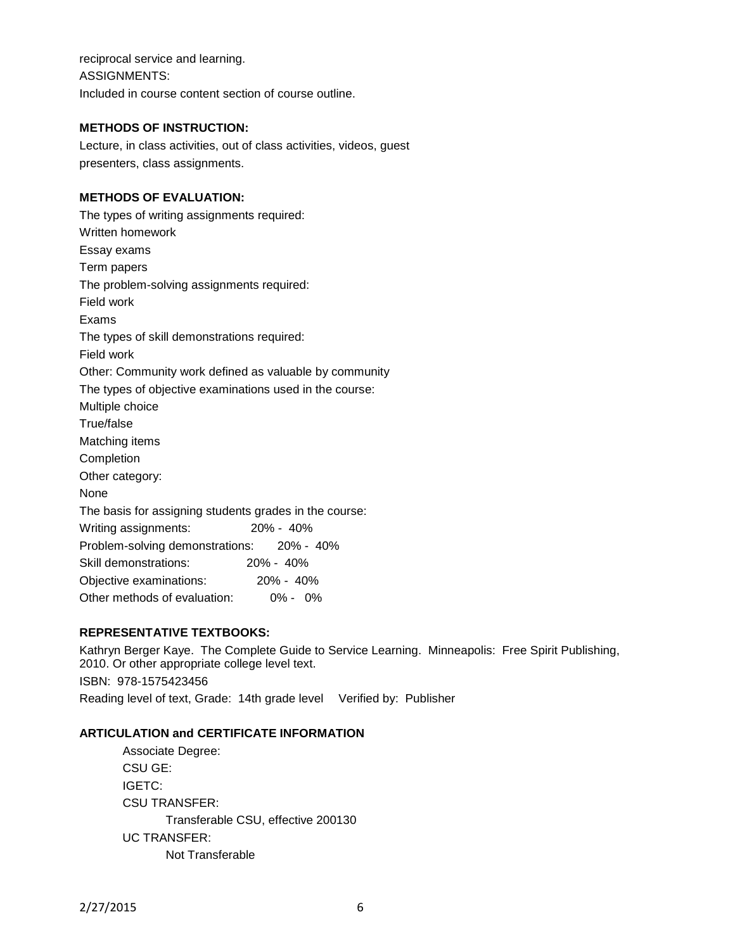reciprocal service and learning. ASSIGNMENTS: Included in course content section of course outline.

### **METHODS OF INSTRUCTION:**

Lecture, in class activities, out of class activities, videos, guest presenters, class assignments.

### **METHODS OF EVALUATION:**

The types of writing assignments required: Written homework Essay exams Term papers The problem-solving assignments required: Field work Exams The types of skill demonstrations required: Field work Other: Community work defined as valuable by community The types of objective examinations used in the course: Multiple choice True/false Matching items Completion Other category: None The basis for assigning students grades in the course: Writing assignments: 20% - 40% Problem-solving demonstrations: 20% - 40% Skill demonstrations: 20% - 40% Objective examinations: 20% - 40% Other methods of evaluation: 0% - 0%

### **REPRESENTATIVE TEXTBOOKS:**

Kathryn Berger Kaye. The Complete Guide to Service Learning. Minneapolis: Free Spirit Publishing, 2010. Or other appropriate college level text. ISBN: 978-1575423456 Reading level of text, Grade: 14th grade level Verified by: Publisher

### **ARTICULATION and CERTIFICATE INFORMATION**

Associate Degree: CSU GE: IGETC: CSU TRANSFER: Transferable CSU, effective 200130 UC TRANSFER: Not Transferable